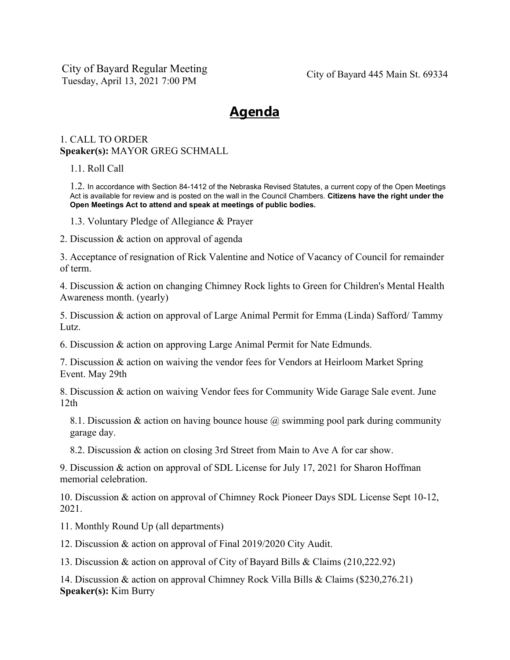City of Bayard Regular Meeting Tuesday, April 13, 2021 7:00 PM City of Bayard 445 Main St. 69334

## **Agenda**

## 1. CALL TO ORDER **Speaker(s):** MAYOR GREG SCHMALL

1.1. Roll Call

1.2. In accordance with Section 84-1412 of the Nebraska Revised Statutes, a current copy of the Open Meetings Act is available for review and is posted on the wall in the Council Chambers. **Citizens have the right under the Open Meetings Act to attend and speak at meetings of public bodies.**

1.3. Voluntary Pledge of Allegiance & Prayer

2. Discussion & action on approval of agenda

3. Acceptance of resignation of Rick Valentine and Notice of Vacancy of Council for remainder of term.

4. Discussion & action on changing Chimney Rock lights to Green for Children's Mental Health Awareness month. (yearly)

5. Discussion & action on approval of Large Animal Permit for Emma (Linda) Safford/ Tammy Lutz.

6. Discussion & action on approving Large Animal Permit for Nate Edmunds.

7. Discussion & action on waiving the vendor fees for Vendors at Heirloom Market Spring Event. May 29th

8. Discussion & action on waiving Vendor fees for Community Wide Garage Sale event. June 12th

8.1. Discussion & action on having bounce house @ swimming pool park during community garage day.

8.2. Discussion & action on closing 3rd Street from Main to Ave A for car show.

9. Discussion & action on approval of SDL License for July 17, 2021 for Sharon Hoffman memorial celebration.

10. Discussion & action on approval of Chimney Rock Pioneer Days SDL License Sept 10-12, 2021.

11. Monthly Round Up (all departments)

12. Discussion & action on approval of Final 2019/2020 City Audit.

13. Discussion & action on approval of City of Bayard Bills & Claims (210,222.92)

14. Discussion & action on approval Chimney Rock Villa Bills & Claims (\$230,276.21) **Speaker(s):** Kim Burry